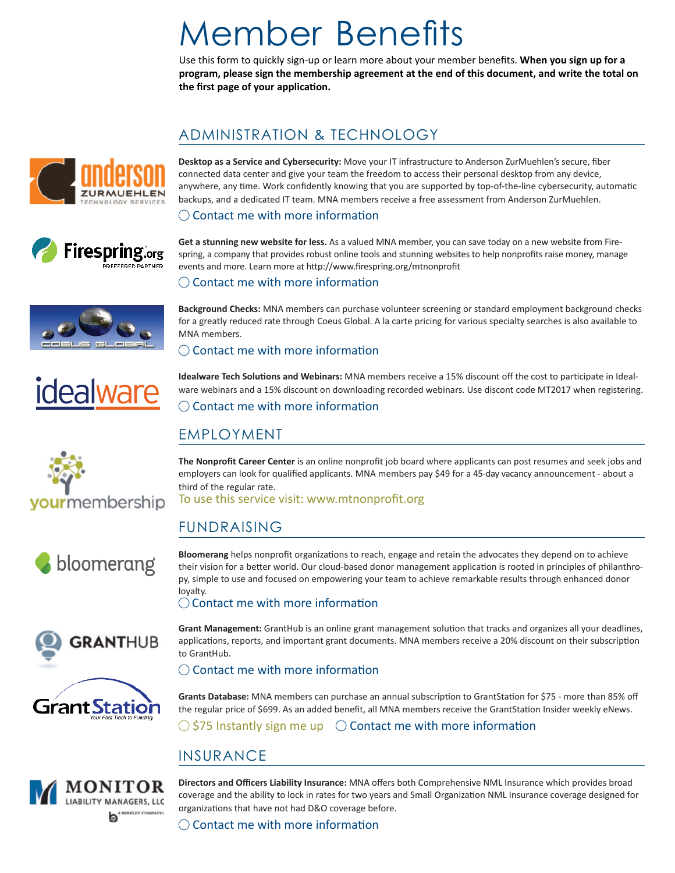# Member Benefits

Use this form to quickly sign-up or learn more about your member benefits. **When you sign up for a program, please sign the membership agreement at the end of this document, and write the total on the first page of your application.**

# ADMINISTRATION & TECHNOLOGY





**Desktop as a Service and Cybersecurity:** Move your IT infrastructure to Anderson ZurMuehlen's secure, fiber connected data center and give your team the freedom to access their personal desktop from any device, anywhere, any time. Work confidently knowing that you are supported by top-of-the-line cybersecurity, automatic backups, and a dedicated IT team. MNA members receive a free assessment from Anderson ZurMuehlen.

#### $\bigcirc$  Contact me with more information

**Get a stunning new website for less.** As a valued MNA member, you can save today on a new website from Firespring, a company that provides robust online tools and stunning websites to help nonprofits raise money, manage

#### $\bigcirc$  Contact me with more information













events and more. Learn more at http://www.firespring.org/mtnonprofit

**Background Checks:** MNA members can purchase volunteer screening or standard employment background checks for a greatly reduced rate through Coeus Global. A la carte pricing for various specialty searches is also available to MNA members.

#### $\bigcirc$  Contact me with more information

**Idealware Tech Solutions and Webinars:** MNA members receive a 15% discount off the cost to participate in Idealware webinars and a 15% discount on downloading recorded webinars. Use discont code MT2017 when registering. ◯ Contact me with more information

## EMPLOYMENT

**The Nonprofit Career Center** is an online nonprofit job board where applicants can post resumes and seek jobs and employers can look for qualified applicants. MNA members pay \$49 for a 45-day vacancy announcement - about a third of the regular rate.

To use this service visit: www.mtnonprofit.org

# FUNDRAISING

**Bloomerang** helps nonprofit organizations to reach, engage and retain the advocates they depend on to achieve their vision for a better world. Our cloud-based donor management application is rooted in principles of philanthropy, simple to use and focused on empowering your team to achieve remarkable results through enhanced donor loyalty.

#### $\bigcirc$  Contact me with more information

**Grant Management:** GrantHub is an online grant management solution that tracks and organizes all your deadlines, applications, reports, and important grant documents. MNA members receive a 20% discount on their subscription to GrantHub.

 $\bigcirc$  Contact me with more information

**Grants Database:** MNA members can purchase an annual subscription to GrantStation for \$75 - more than 85% off the regular price of \$699. As an added benefit, all MNA members receive the GrantStation Insider weekly eNews.

 $\bigcirc$  \$75 Instantly sign me up  $\bigcirc$  Contact me with more information

# INSURANCE



**Directors and Officers Liability Insurance:** MNA offers both Comprehensive NML Insurance which provides broad coverage and the ability to lock in rates for two years and Small Organization NML Insurance coverage designed for organizations that have not had D&O coverage before.

 $\bigcirc$  Contact me with more information